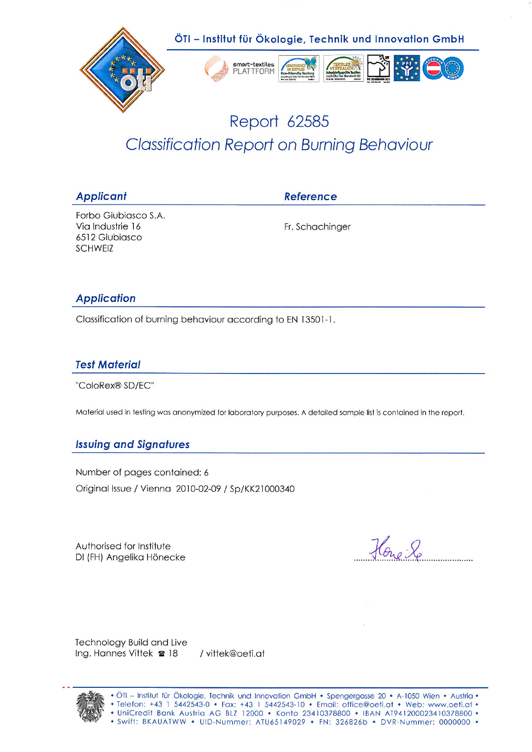

# Report 62585 **Classification Report on Burning Behaviour**

| <b>Applicant</b>                                                      | <b>Reference</b> |
|-----------------------------------------------------------------------|------------------|
| Forbo Giubiasco S.A.<br>Via Industrie 16<br>6512 Giubiasco<br>SCHWEIZ | Fr. Schachinger  |
| <b>Application</b>                                                    |                  |

Classification of burning behaviour according to EN 13501-1.

### **Test Material**

"ColoRex® SD/EC"

Material used in testing was anonymized for laboratory purposes, A detailed sample list is contained in the report.

### **Issuing and Signatures**

Number of pages contained: 6 Original Issue / Vienna 2010-02-09 / Sp/KK21000340

Authorised for Institute DI (FH) Angelika Hönecke

Hono Lo

Technology Build and Live Ing. Hannes Vittek **a** 18 / vittek@oeti.at



ÖTI - Institut für Ökologie, Technik und Innovation GmbH • Spengergasse 20 • A-1050 Wien • Austria • Telefon: +43 1 5442543-0 • Fax: +43 1 5442543-10 • Email: office@oeti.at • Web: www.oeti.at • + UniCredit Bank Austria AG BLZ 12000 + Konto 23410378800 + IBAN AT941200023410378800 +<br>+ Swift: BKAUATWW + UID-Nummer: ATU65149029 + FN: 326826b + DVR-Nummer: 0000000 +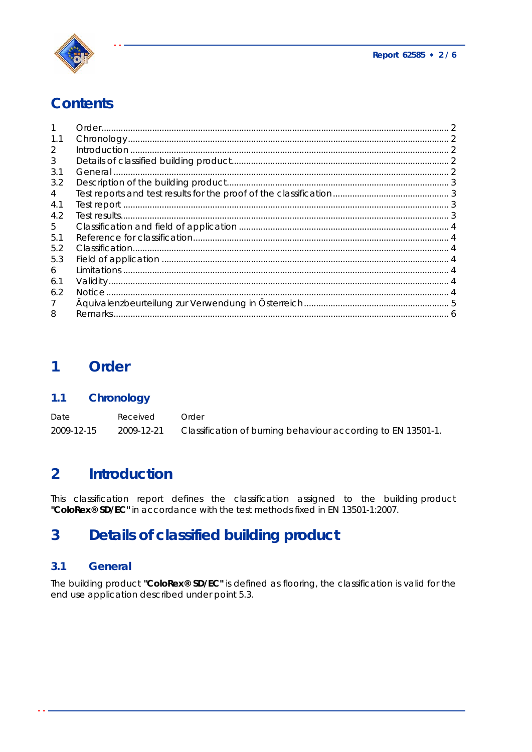

## **Contents**

| 1.1 |  |
|-----|--|
| 2   |  |
| 3   |  |
| 3.1 |  |
| 3.2 |  |
| 4   |  |
| 4.1 |  |
| 4.2 |  |
| 5.  |  |
| 5.1 |  |
| 5.2 |  |
| 5.3 |  |
| 6   |  |
| 6.1 |  |
| 6.2 |  |
|     |  |
| 8   |  |

#### $\overline{\mathbf{1}}$ Order

#### Chronology  $1.1$

| Date       | Received   | Order                                                        |
|------------|------------|--------------------------------------------------------------|
| 2009-12-15 | 2009-12-21 | Classification of burning behaviour according to EN 13501-1. |

#### $\overline{2}$ **Introduction**

This classification report defines the classification assigned to the building product "ColoRex® SD/EC" in accordance with the test methods fixed in EN 13501-1:2007.

#### **Details of classified building product**  $\overline{3}$

#### $3.1$ **General**

The building product "ColoRex® SD/EC" is defined as flooring, the classification is valid for the end use application described under point 5.3.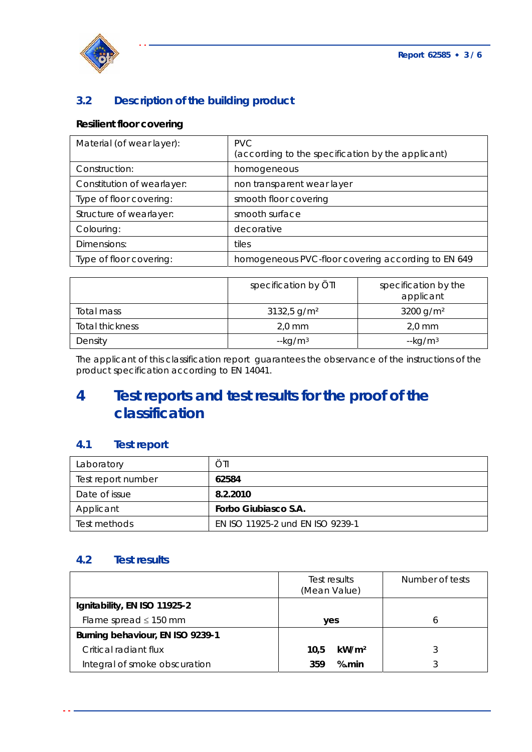

## **3.2 Description of the building product**

## **Resilient floor covering**

| Material (of wear layer):  | <b>PVC</b><br>(according to the specification by the applicant) |
|----------------------------|-----------------------------------------------------------------|
| Construction:              | homogeneous                                                     |
| Constitution of wearlayer: | non transparent wear layer                                      |
| Type of floor covering:    | smooth floor covering                                           |
| Structure of wearlayer:    | smooth surface                                                  |
| Colouring:                 | decorative                                                      |
| Dimensions:                | tiles                                                           |
| Type of floor covering:    | homogeneous PVC-floor covering according to EN 649              |

|                 | specification by ÖTI      | specification by the<br>applicant |
|-----------------|---------------------------|-----------------------------------|
| Total mass      | $3132,5$ g/m <sup>2</sup> | 3200 g/m <sup>2</sup>             |
| Total thickness | $2,0$ mm                  | $2,0$ mm                          |
| Density         | $-kg/m3$                  | $-kg/m3$                          |

The applicant of this classification report guarantees the observance of the instructions of the product specification according to EN 14041.

## **4 Test reports and test results for the proof of the classification**

### **4.1 Test report**

| Laboratory         | ÖTI                              |
|--------------------|----------------------------------|
| Test report number | 62584                            |
| Date of issue      | 8.2.2010                         |
| Applicant          | Forbo Giubiasco S.A.             |
| Test methods       | EN ISO 11925-2 und EN ISO 9239-1 |

### **4.2 Test results**

|                                  | Test results<br>(Mean Value) | Number of tests |
|----------------------------------|------------------------------|-----------------|
| Ignitability, EN ISO 11925-2     |                              |                 |
| Flame spread $\leq$ 150 mm       | yes                          | h               |
| Burning behaviour, EN ISO 9239-1 |                              |                 |
| Critical radiant flux            | kW/m <sup>2</sup><br>10.5    |                 |
| Integral of smoke obscuration    | % min<br>359                 |                 |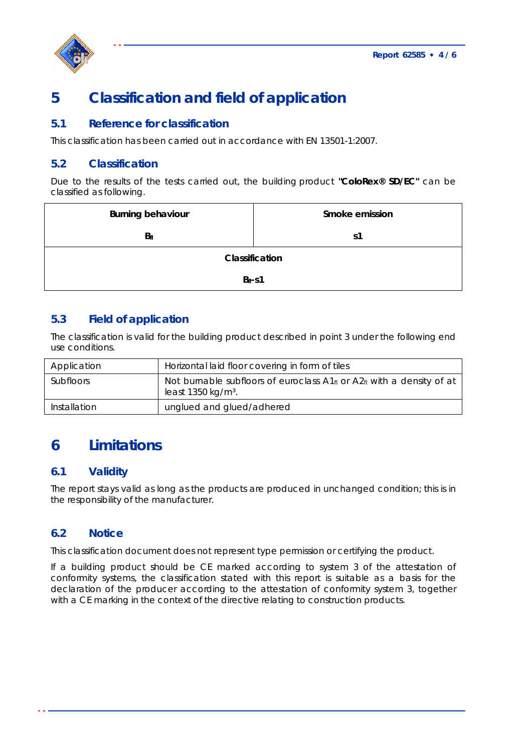

## **5 Classification and field of application**

### **5.1 Reference for classification**

This classification has been carried out in accordance with EN 13501-1:2007.

### **5.2 Classification**

Due to the results of the tests carried out, the building product **"ColoRex® SD/EC"** can be classified as following.

| <b>Burning behaviour</b> | Smoke emission |  |  |
|--------------------------|----------------|--|--|
| $B_{fl}$                 | s1             |  |  |
| Classification           |                |  |  |
| $Bfl - S1$               |                |  |  |

### **5.3 Field of application**

The classification is valid for the building product described in point 3 under the following end use conditions.

| Application      | Horizontal laid floor covering in form of tiles                                                                                   |
|------------------|-----------------------------------------------------------------------------------------------------------------------------------|
| <b>Subfloors</b> | Not burnable subfloors of euroclass $A1_{\text{fl}}$ or $A2_{\text{fl}}$ with a density of at<br>least $1350$ kg/m <sup>3</sup> . |
| Installation     | unglued and glued/adhered                                                                                                         |

## **6 Limitations**

### **6.1 Validity**

The report stays valid as long as the products are produced in unchanged condition; this is in the responsibility of the manufacturer.

### **6.2 Notice**

This classification document does not represent type permission or certifying the product.

If a building product should be CE marked according to system 3 of the attestation of conformity systems, the classification stated with this report is suitable as a basis for the declaration of the producer according to the attestation of conformity system 3, together with a CE marking in the context of the directive relating to construction products.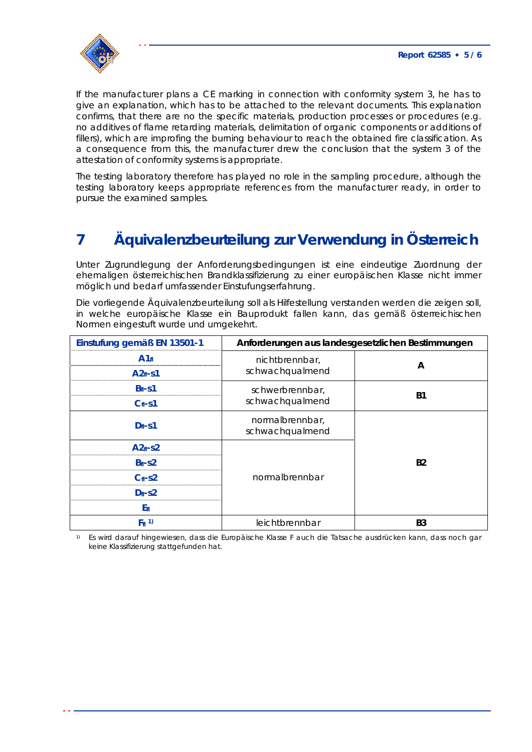

If the manufacturer plans a CE marking in connection with conformity system 3, he has to give an explanation, which has to be attached to the relevant documents. This explanation confirms, that there are no the specific materials, production processes or procedures (e.g. no additives of flame retarding materials, delimitation of organic components or additions of fillers), which are improfing the burning behaviour to reach the obtained fire classification. As a consequence from this, the manufacturer drew the conclusion that the system 3 of the attestation of conformity systems is appropriate.

The testing laboratory therefore has played no role in the sampling procedure, although the testing laboratory keeps appropriate references from the manufacturer ready, in order to pursue the examined samples.

# **7 Äquivalenzbeurteilung zur Verwendung in Österreich**

Unter Zugrundlegung der Anforderungsbedingungen ist eine eindeutige Zuordnung der ehemaligen österreichischen Brandklassifizierung zu einer europäischen Klasse nicht immer möglich und bedarf umfassender Einstufungserfahrung.

Die vorliegende Äquivalenzbeurteilung soll als Hilfestellung verstanden werden die zeigen soll, in welche europäische Klasse ein Bauprodukt fallen kann, das gemäß österreichischen Normen eingestuft wurde und umgekehrt.

| Einstufung gemäß EN 13501-1 | Anforderungen aus landesgesetzlichen Bestimmungen |           |
|-----------------------------|---------------------------------------------------|-----------|
| A1f1                        | nichtbrennbar,                                    | A         |
| $A2f-51$                    | schwachqualmend                                   |           |
| $Bf1-S1$                    | schwerbrennbar,                                   | <b>B1</b> |
| $C_{fl}$ -s1                | schwachqualmend                                   |           |
| $D_{fl}$ -s1                | normalbrennbar,<br>schwachqualmend                |           |
| $A2f1-S2$                   |                                                   |           |
| $B_{fl}$ -s2                | normalbrennbar                                    | <b>B2</b> |
| $C_{fl}$ -s2                |                                                   |           |
| $D_{fl}$ -s2                |                                                   |           |
| $E_{\rm fl}$                |                                                   |           |
| $F_{fl}$ 1)                 | leichtbrennbar                                    | <b>B3</b> |

1) Es wird darauf hingewiesen, dass die Europäische Klasse F auch die Tatsache ausdrücken kann, dass noch gar keine Klassifizierung stattgefunden hat.